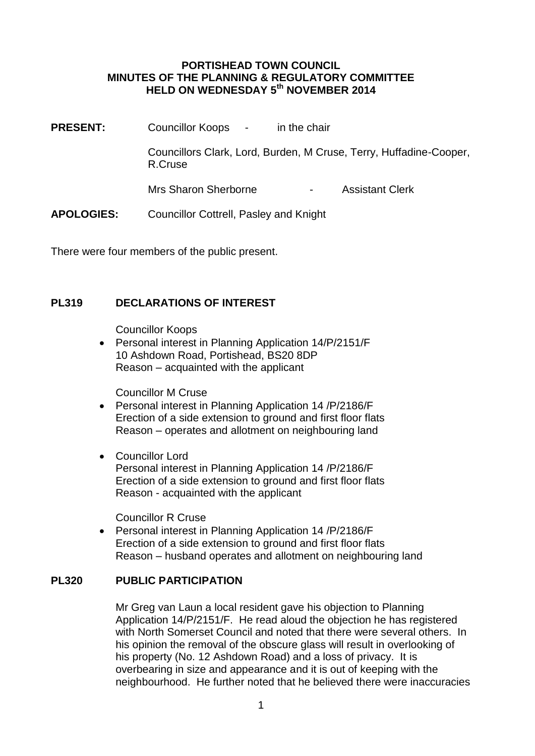#### **PORTISHEAD TOWN COUNCIL MINUTES OF THE PLANNING & REGULATORY COMMITTEE HELD ON WEDNESDAY 5th NOVEMBER 2014**

**PRESENT:** Councillor Koops - in the chair Councillors Clark, Lord, Burden, M Cruse, Terry, Huffadine-Cooper, R.Cruse Mrs Sharon Sherborne **- Assistant Clerk APOLOGIES:** Councillor Cottrell, Pasley and Knight

There were four members of the public present.

## **PL319 DECLARATIONS OF INTEREST**

Councillor Koops

 Personal interest in Planning Application 14/P/2151/F 10 Ashdown Road, Portishead, BS20 8DP Reason – acquainted with the applicant

Councillor M Cruse

- Personal interest in Planning Application 14 /P/2186/F Erection of a side extension to ground and first floor flats Reason – operates and allotment on neighbouring land
- Councillor Lord Personal interest in Planning Application 14 /P/2186/F Erection of a side extension to ground and first floor flats Reason - acquainted with the applicant

Councillor R Cruse

 Personal interest in Planning Application 14 /P/2186/F Erection of a side extension to ground and first floor flats Reason – husband operates and allotment on neighbouring land

### **PL320 PUBLIC PARTICIPATION**

Mr Greg van Laun a local resident gave his objection to Planning Application 14/P/2151/F. He read aloud the objection he has registered with North Somerset Council and noted that there were several others. In his opinion the removal of the obscure glass will result in overlooking of his property (No. 12 Ashdown Road) and a loss of privacy. It is overbearing in size and appearance and it is out of keeping with the neighbourhood. He further noted that he believed there were inaccuracies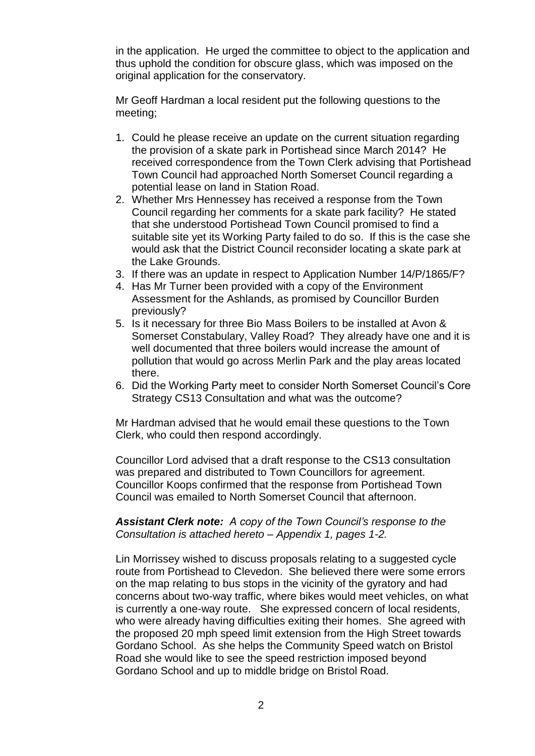in the application. He urged the committee to object to the application and thus uphold the condition for obscure glass, which was imposed on the original application for the conservatory.

Mr Geoff Hardman a local resident put the following questions to the meeting;

- 1. Could he please receive an update on the current situation regarding the provision of a skate park in Portishead since March 2014? He received correspondence from the Town Clerk advising that Portishead Town Council had approached North Somerset Council regarding a potential lease on land in Station Road.
- 2. Whether Mrs Hennessey has received a response from the Town Council regarding her comments for a skate park facility? He stated that she understood Portishead Town Council promised to find a suitable site yet its Working Party failed to do so. If this is the case she would ask that the District Council reconsider locating a skate park at the Lake Grounds.
- 3. If there was an update in respect to Application Number 14/P/1865/F?
- 4. Has Mr Turner been provided with a copy of the Environment Assessment for the Ashlands, as promised by Councillor Burden previously?
- 5. Is it necessary for three Bio Mass Boilers to be installed at Avon & Somerset Constabulary, Valley Road? They already have one and it is well documented that three boilers would increase the amount of pollution that would go across Merlin Park and the play areas located there.
- 6. Did the Working Party meet to consider North Somerset Council's Core Strategy CS13 Consultation and what was the outcome?

Mr Hardman advised that he would email these questions to the Town Clerk, who could then respond accordingly.

Councillor Lord advised that a draft response to the CS13 consultation was prepared and distributed to Town Councillors for agreement. Councillor Koops confirmed that the response from Portishead Town Council was emailed to North Somerset Council that afternoon.

*Assistant Clerk note: A copy of the Town Council's response to the Consultation is attached hereto – Appendix 1, pages 1-2.*

Lin Morrissey wished to discuss proposals relating to a suggested cycle route from Portishead to Clevedon. She believed there were some errors on the map relating to bus stops in the vicinity of the gyratory and had concerns about two-way traffic, where bikes would meet vehicles, on what is currently a one-way route. She expressed concern of local residents, who were already having difficulties exiting their homes. She agreed with the proposed 20 mph speed limit extension from the High Street towards Gordano School. As she helps the Community Speed watch on Bristol Road she would like to see the speed restriction imposed beyond Gordano School and up to middle bridge on Bristol Road.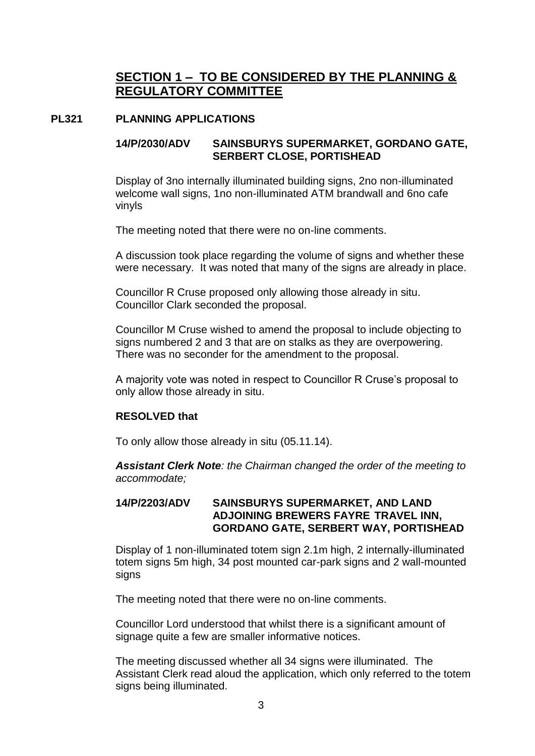# **SECTION 1 – TO BE CONSIDERED BY THE PLANNING & REGULATORY COMMITTEE**

### **PL321 PLANNING APPLICATIONS**

## **14/P/2030/ADV SAINSBURYS SUPERMARKET, GORDANO GATE, SERBERT CLOSE, PORTISHEAD**

Display of 3no internally illuminated building signs, 2no non-illuminated welcome wall signs, 1no non-illuminated ATM brandwall and 6no cafe vinyls

The meeting noted that there were no on-line comments.

A discussion took place regarding the volume of signs and whether these were necessary. It was noted that many of the signs are already in place.

Councillor R Cruse proposed only allowing those already in situ. Councillor Clark seconded the proposal.

Councillor M Cruse wished to amend the proposal to include objecting to signs numbered 2 and 3 that are on stalks as they are overpowering. There was no seconder for the amendment to the proposal.

A majority vote was noted in respect to Councillor R Cruse's proposal to only allow those already in situ.

### **RESOLVED that**

To only allow those already in situ (05.11.14).

*Assistant Clerk Note: the Chairman changed the order of the meeting to accommodate;*

#### **14/P/2203/ADV SAINSBURYS SUPERMARKET, AND LAND ADJOINING BREWERS FAYRE TRAVEL INN, GORDANO GATE, SERBERT WAY, PORTISHEAD**

Display of 1 non-illuminated totem sign 2.1m high, 2 internally-illuminated totem signs 5m high, 34 post mounted car-park signs and 2 wall-mounted signs

The meeting noted that there were no on-line comments.

Councillor Lord understood that whilst there is a significant amount of signage quite a few are smaller informative notices.

The meeting discussed whether all 34 signs were illuminated. The Assistant Clerk read aloud the application, which only referred to the totem signs being illuminated.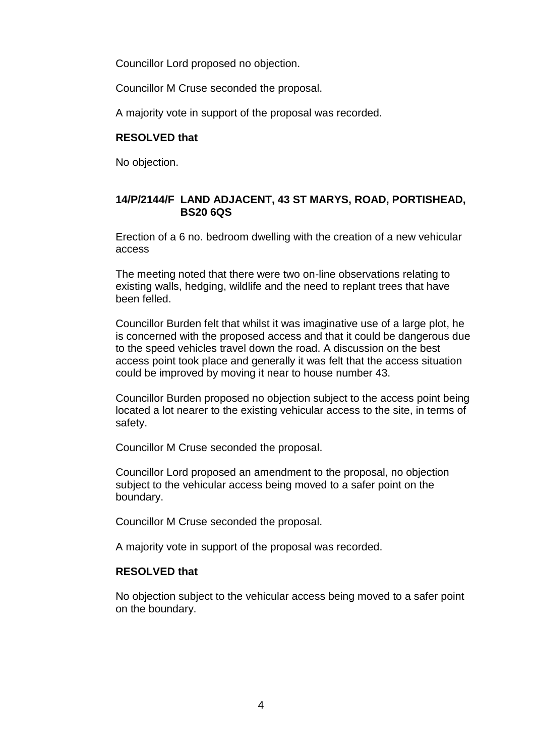Councillor Lord proposed no objection.

Councillor M Cruse seconded the proposal.

A majority vote in support of the proposal was recorded.

### **RESOLVED that**

No objection.

## **14/P/2144/F LAND ADJACENT, 43 ST MARYS, ROAD, PORTISHEAD, BS20 6QS**

Erection of a 6 no. bedroom dwelling with the creation of a new vehicular access

The meeting noted that there were two on-line observations relating to existing walls, hedging, wildlife and the need to replant trees that have been felled.

Councillor Burden felt that whilst it was imaginative use of a large plot, he is concerned with the proposed access and that it could be dangerous due to the speed vehicles travel down the road. A discussion on the best access point took place and generally it was felt that the access situation could be improved by moving it near to house number 43.

Councillor Burden proposed no objection subject to the access point being located a lot nearer to the existing vehicular access to the site, in terms of safety.

Councillor M Cruse seconded the proposal.

Councillor Lord proposed an amendment to the proposal, no objection subject to the vehicular access being moved to a safer point on the boundary.

Councillor M Cruse seconded the proposal.

A majority vote in support of the proposal was recorded.

### **RESOLVED that**

No objection subject to the vehicular access being moved to a safer point on the boundary.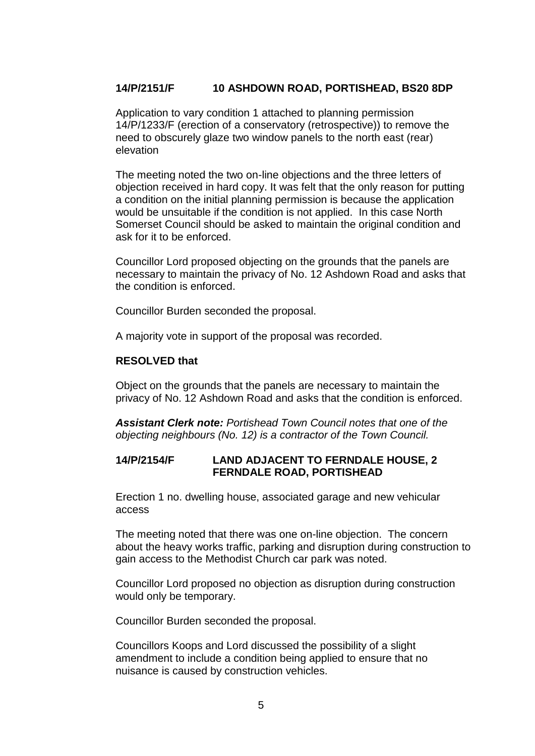## **14/P/2151/F 10 ASHDOWN ROAD, PORTISHEAD, BS20 8DP**

Application to vary condition 1 attached to planning permission 14/P/1233/F (erection of a conservatory (retrospective)) to remove the need to obscurely glaze two window panels to the north east (rear) elevation

The meeting noted the two on-line objections and the three letters of objection received in hard copy. It was felt that the only reason for putting a condition on the initial planning permission is because the application would be unsuitable if the condition is not applied. In this case North Somerset Council should be asked to maintain the original condition and ask for it to be enforced.

Councillor Lord proposed objecting on the grounds that the panels are necessary to maintain the privacy of No. 12 Ashdown Road and asks that the condition is enforced.

Councillor Burden seconded the proposal.

A majority vote in support of the proposal was recorded.

#### **RESOLVED that**

Object on the grounds that the panels are necessary to maintain the privacy of No. 12 Ashdown Road and asks that the condition is enforced.

*Assistant Clerk note: Portishead Town Council notes that one of the objecting neighbours (No. 12) is a contractor of the Town Council.*

#### **14/P/2154/F LAND ADJACENT TO FERNDALE HOUSE, 2 FERNDALE ROAD, PORTISHEAD**

Erection 1 no. dwelling house, associated garage and new vehicular access

The meeting noted that there was one on-line objection. The concern about the heavy works traffic, parking and disruption during construction to gain access to the Methodist Church car park was noted.

Councillor Lord proposed no objection as disruption during construction would only be temporary.

Councillor Burden seconded the proposal.

Councillors Koops and Lord discussed the possibility of a slight amendment to include a condition being applied to ensure that no nuisance is caused by construction vehicles.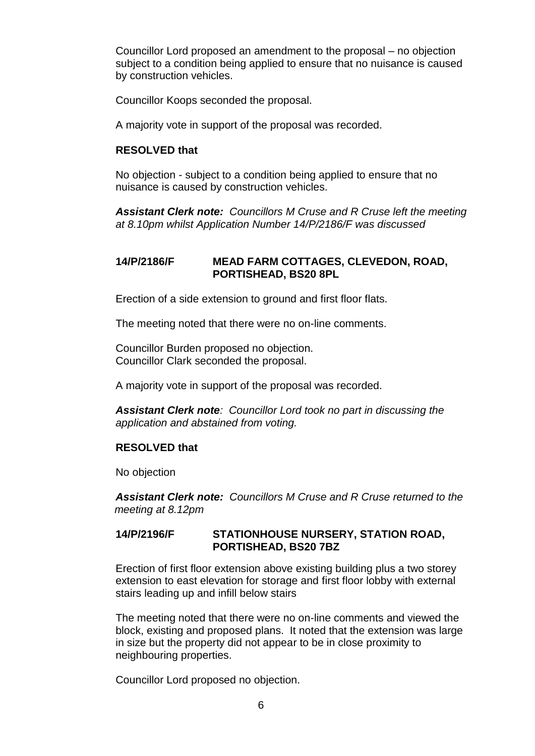Councillor Lord proposed an amendment to the proposal – no objection subject to a condition being applied to ensure that no nuisance is caused by construction vehicles.

Councillor Koops seconded the proposal.

A majority vote in support of the proposal was recorded.

#### **RESOLVED that**

No objection - subject to a condition being applied to ensure that no nuisance is caused by construction vehicles.

*Assistant Clerk note: Councillors M Cruse and R Cruse left the meeting at 8.10pm whilst Application Number 14/P/2186/F was discussed*

### **14/P/2186/F MEAD FARM COTTAGES, CLEVEDON, ROAD, PORTISHEAD, BS20 8PL**

Erection of a side extension to ground and first floor flats.

The meeting noted that there were no on-line comments.

Councillor Burden proposed no objection. Councillor Clark seconded the proposal.

A majority vote in support of the proposal was recorded.

*Assistant Clerk note: Councillor Lord took no part in discussing the application and abstained from voting.*

### **RESOLVED that**

No objection

*Assistant Clerk note: Councillors M Cruse and R Cruse returned to the meeting at 8.12pm*

#### **14/P/2196/F STATIONHOUSE NURSERY, STATION ROAD, PORTISHEAD, BS20 7BZ**

Erection of first floor extension above existing building plus a two storey extension to east elevation for storage and first floor lobby with external stairs leading up and infill below stairs

The meeting noted that there were no on-line comments and viewed the block, existing and proposed plans. It noted that the extension was large in size but the property did not appear to be in close proximity to neighbouring properties.

Councillor Lord proposed no objection.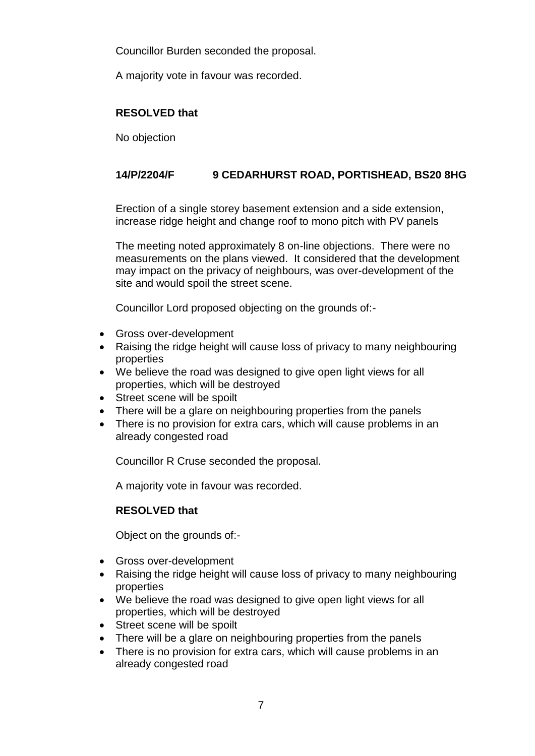Councillor Burden seconded the proposal.

A majority vote in favour was recorded.

## **RESOLVED that**

No objection

## **14/P/2204/F 9 CEDARHURST ROAD, PORTISHEAD, BS20 8HG**

Erection of a single storey basement extension and a side extension, increase ridge height and change roof to mono pitch with PV panels

The meeting noted approximately 8 on-line objections. There were no measurements on the plans viewed. It considered that the development may impact on the privacy of neighbours, was over-development of the site and would spoil the street scene.

Councillor Lord proposed objecting on the grounds of:-

- Gross over-development
- Raising the ridge height will cause loss of privacy to many neighbouring properties
- We believe the road was designed to give open light views for all properties, which will be destroyed
- Street scene will be spoilt
- There will be a glare on neighbouring properties from the panels
- There is no provision for extra cars, which will cause problems in an already congested road

Councillor R Cruse seconded the proposal.

A majority vote in favour was recorded.

## **RESOLVED that**

Object on the grounds of:-

- Gross over-development
- Raising the ridge height will cause loss of privacy to many neighbouring properties
- We believe the road was designed to give open light views for all properties, which will be destroyed
- Street scene will be spoilt
- There will be a glare on neighbouring properties from the panels
- There is no provision for extra cars, which will cause problems in an already congested road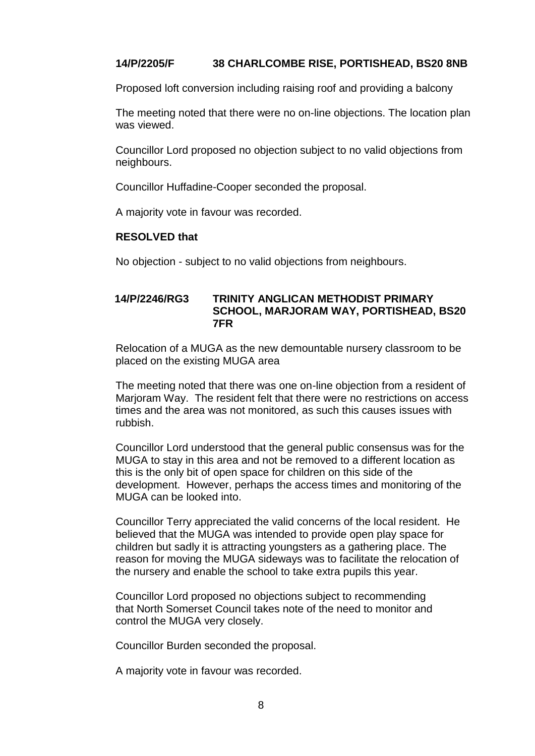## **14/P/2205/F 38 CHARLCOMBE RISE, PORTISHEAD, BS20 8NB**

Proposed loft conversion including raising roof and providing a balcony

The meeting noted that there were no on-line objections. The location plan was viewed.

Councillor Lord proposed no objection subject to no valid objections from neighbours.

Councillor Huffadine-Cooper seconded the proposal.

A majority vote in favour was recorded.

#### **RESOLVED that**

No objection - subject to no valid objections from neighbours.

#### **14/P/2246/RG3 TRINITY ANGLICAN METHODIST PRIMARY SCHOOL, MARJORAM WAY, PORTISHEAD, BS20 7FR**

Relocation of a MUGA as the new demountable nursery classroom to be placed on the existing MUGA area

The meeting noted that there was one on-line objection from a resident of Marjoram Way. The resident felt that there were no restrictions on access times and the area was not monitored, as such this causes issues with rubbish.

Councillor Lord understood that the general public consensus was for the MUGA to stay in this area and not be removed to a different location as this is the only bit of open space for children on this side of the development. However, perhaps the access times and monitoring of the MUGA can be looked into.

Councillor Terry appreciated the valid concerns of the local resident. He believed that the MUGA was intended to provide open play space for children but sadly it is attracting youngsters as a gathering place. The reason for moving the MUGA sideways was to facilitate the relocation of the nursery and enable the school to take extra pupils this year.

Councillor Lord proposed no objections subject to recommending that North Somerset Council takes note of the need to monitor and control the MUGA very closely.

Councillor Burden seconded the proposal.

A majority vote in favour was recorded.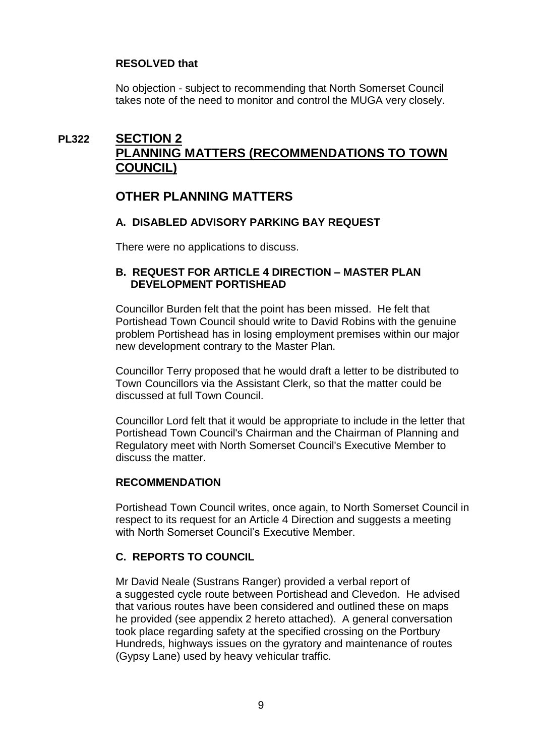## **RESOLVED that**

No objection - subject to recommending that North Somerset Council takes note of the need to monitor and control the MUGA very closely.

# **PL322 SECTION 2 PLANNING MATTERS (RECOMMENDATIONS TO TOWN COUNCIL)**

# **OTHER PLANNING MATTERS**

## **A. DISABLED ADVISORY PARKING BAY REQUEST**

There were no applications to discuss.

### **B. REQUEST FOR ARTICLE 4 DIRECTION – MASTER PLAN DEVELOPMENT PORTISHEAD**

Councillor Burden felt that the point has been missed. He felt that Portishead Town Council should write to David Robins with the genuine problem Portishead has in losing employment premises within our major new development contrary to the Master Plan.

Councillor Terry proposed that he would draft a letter to be distributed to Town Councillors via the Assistant Clerk, so that the matter could be discussed at full Town Council.

Councillor Lord felt that it would be appropriate to include in the letter that Portishead Town Council's Chairman and the Chairman of Planning and Regulatory meet with North Somerset Council's Executive Member to discuss the matter.

### **RECOMMENDATION**

Portishead Town Council writes, once again, to North Somerset Council in respect to its request for an Article 4 Direction and suggests a meeting with North Somerset Council's Executive Member.

## **C. REPORTS TO COUNCIL**

Mr David Neale (Sustrans Ranger) provided a verbal report of a suggested cycle route between Portishead and Clevedon. He advised that various routes have been considered and outlined these on maps he provided (see appendix 2 hereto attached). A general conversation took place regarding safety at the specified crossing on the Portbury Hundreds, highways issues on the gyratory and maintenance of routes (Gypsy Lane) used by heavy vehicular traffic.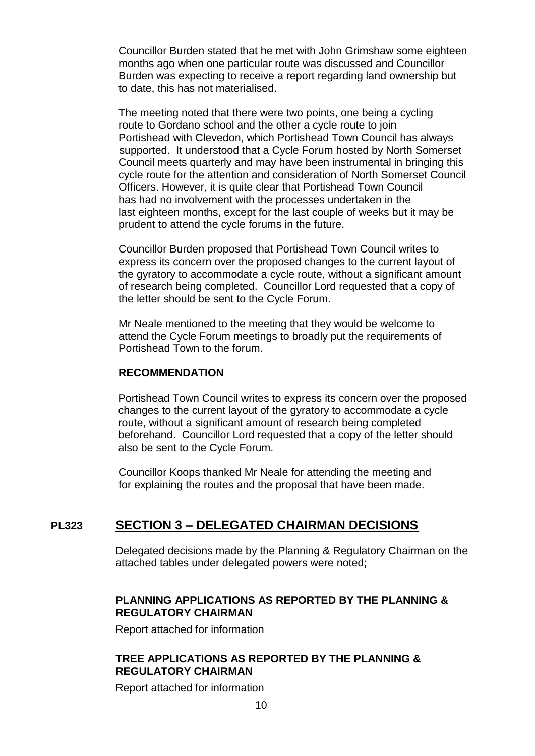Councillor Burden stated that he met with John Grimshaw some eighteen months ago when one particular route was discussed and Councillor Burden was expecting to receive a report regarding land ownership but to date, this has not materialised.

The meeting noted that there were two points, one being a cycling route to Gordano school and the other a cycle route to join Portishead with Clevedon, which Portishead Town Council has always supported. It understood that a Cycle Forum hosted by North Somerset Council meets quarterly and may have been instrumental in bringing this cycle route for the attention and consideration of North Somerset Council Officers. However, it is quite clear that Portishead Town Council has had no involvement with the processes undertaken in the last eighteen months, except for the last couple of weeks but it may be prudent to attend the cycle forums in the future.

Councillor Burden proposed that Portishead Town Council writes to express its concern over the proposed changes to the current layout of the gyratory to accommodate a cycle route, without a significant amount of research being completed. Councillor Lord requested that a copy of the letter should be sent to the Cycle Forum.

Mr Neale mentioned to the meeting that they would be welcome to attend the Cycle Forum meetings to broadly put the requirements of Portishead Town to the forum.

#### **RECOMMENDATION**

Portishead Town Council writes to express its concern over the proposed changes to the current layout of the gyratory to accommodate a cycle route, without a significant amount of research being completed beforehand. Councillor Lord requested that a copy of the letter should also be sent to the Cycle Forum.

Councillor Koops thanked Mr Neale for attending the meeting and for explaining the routes and the proposal that have been made.

## **PL323 SECTION 3 – DELEGATED CHAIRMAN DECISIONS**

Delegated decisions made by the Planning & Regulatory Chairman on the attached tables under delegated powers were noted;

### **PLANNING APPLICATIONS AS REPORTED BY THE PLANNING & REGULATORY CHAIRMAN**

Report attached for information

## **TREE APPLICATIONS AS REPORTED BY THE PLANNING & REGULATORY CHAIRMAN**

Report attached for information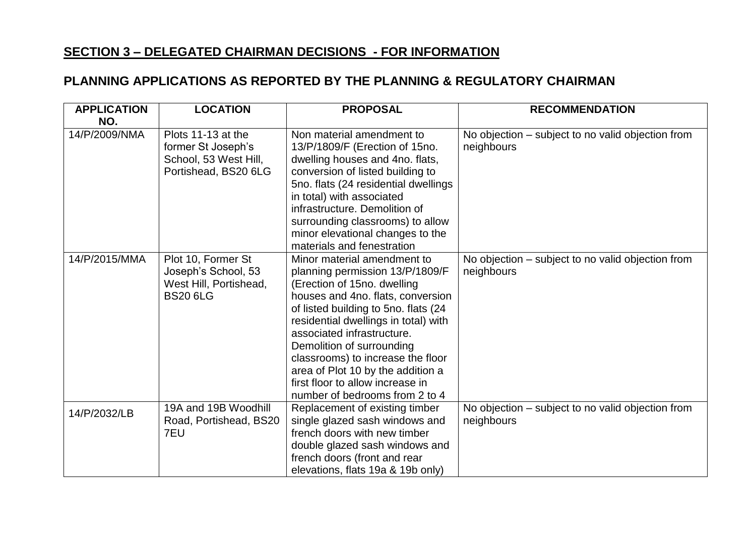# **SECTION 3 – DELEGATED CHAIRMAN DECISIONS - FOR INFORMATION**

# **PLANNING APPLICATIONS AS REPORTED BY THE PLANNING & REGULATORY CHAIRMAN**

| <b>APPLICATION</b><br>NO. | <b>LOCATION</b>                                                                           | <b>PROPOSAL</b>                                                                                                                                                                                                                                                                                                                                                                                                               | <b>RECOMMENDATION</b>                                           |
|---------------------------|-------------------------------------------------------------------------------------------|-------------------------------------------------------------------------------------------------------------------------------------------------------------------------------------------------------------------------------------------------------------------------------------------------------------------------------------------------------------------------------------------------------------------------------|-----------------------------------------------------------------|
| 14/P/2009/NMA             | Plots 11-13 at the<br>former St Joseph's<br>School, 53 West Hill,<br>Portishead, BS20 6LG | Non material amendment to<br>13/P/1809/F (Erection of 15no.<br>dwelling houses and 4no. flats,<br>conversion of listed building to<br>5no. flats (24 residential dwellings<br>in total) with associated<br>infrastructure. Demolition of<br>surrounding classrooms) to allow<br>minor elevational changes to the<br>materials and fenestration                                                                                | No objection – subject to no valid objection from<br>neighbours |
| 14/P/2015/MMA             | Plot 10, Former St<br>Joseph's School, 53<br>West Hill, Portishead,<br><b>BS20 6LG</b>    | Minor material amendment to<br>planning permission 13/P/1809/F<br>(Erection of 15no. dwelling<br>houses and 4no. flats, conversion<br>of listed building to 5no. flats (24<br>residential dwellings in total) with<br>associated infrastructure.<br>Demolition of surrounding<br>classrooms) to increase the floor<br>area of Plot 10 by the addition a<br>first floor to allow increase in<br>number of bedrooms from 2 to 4 | No objection – subject to no valid objection from<br>neighbours |
| 14/P/2032/LB              | 19A and 19B Woodhill<br>Road, Portishead, BS20<br>7EU                                     | Replacement of existing timber<br>single glazed sash windows and<br>french doors with new timber<br>double glazed sash windows and<br>french doors (front and rear<br>elevations, flats 19a & 19b only)                                                                                                                                                                                                                       | No objection – subject to no valid objection from<br>neighbours |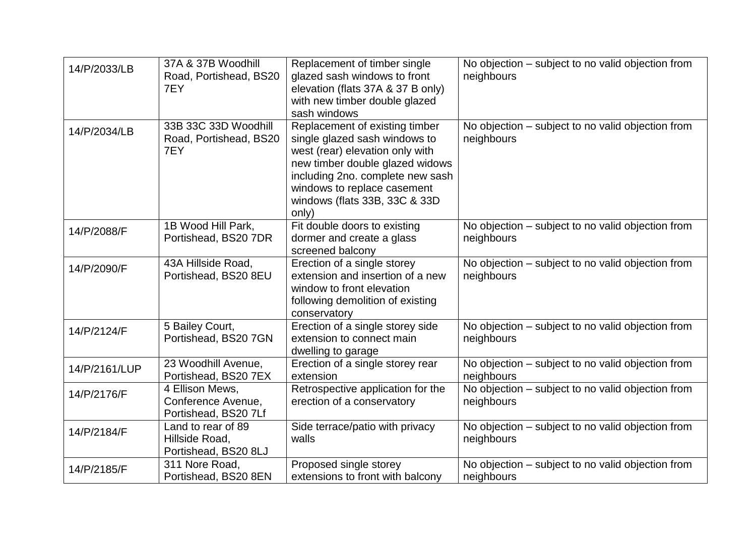| 14/P/2033/LB  | 37A & 37B Woodhill            | Replacement of timber single                                    | No objection – subject to no valid objection from               |
|---------------|-------------------------------|-----------------------------------------------------------------|-----------------------------------------------------------------|
|               | Road, Portishead, BS20        | glazed sash windows to front                                    | neighbours                                                      |
|               | 7EY                           | elevation (flats 37A & 37 B only)                               |                                                                 |
|               |                               | with new timber double glazed                                   |                                                                 |
|               |                               | sash windows                                                    |                                                                 |
| 14/P/2034/LB  | 33B 33C 33D Woodhill          | Replacement of existing timber<br>single glazed sash windows to | No objection – subject to no valid objection from<br>neighbours |
|               | Road, Portishead, BS20<br>7EY | west (rear) elevation only with                                 |                                                                 |
|               |                               | new timber double glazed widows                                 |                                                                 |
|               |                               | including 2no. complete new sash                                |                                                                 |
|               |                               | windows to replace casement                                     |                                                                 |
|               |                               | windows (flats 33B, 33C & 33D                                   |                                                                 |
|               |                               | only)                                                           |                                                                 |
| 14/P/2088/F   | 1B Wood Hill Park,            | Fit double doors to existing                                    | No objection - subject to no valid objection from               |
|               | Portishead, BS20 7DR          | dormer and create a glass                                       | neighbours                                                      |
|               |                               | screened balcony                                                |                                                                 |
| 14/P/2090/F   | 43A Hillside Road,            | Erection of a single storey                                     | No objection – subject to no valid objection from               |
|               | Portishead, BS20 8EU          | extension and insertion of a new                                | neighbours                                                      |
|               |                               | window to front elevation                                       |                                                                 |
|               |                               | following demolition of existing                                |                                                                 |
|               | 5 Bailey Court,               | conservatory<br>Erection of a single storey side                | No objection - subject to no valid objection from               |
| 14/P/2124/F   | Portishead, BS20 7GN          | extension to connect main                                       | neighbours                                                      |
|               |                               | dwelling to garage                                              |                                                                 |
| 14/P/2161/LUP | 23 Woodhill Avenue,           | Erection of a single storey rear                                | No objection - subject to no valid objection from               |
|               | Portishead, BS20 7EX          | extension                                                       | neighbours                                                      |
| 14/P/2176/F   | 4 Ellison Mews,               | Retrospective application for the                               | No objection – subject to no valid objection from               |
|               | Conference Avenue,            | erection of a conservatory                                      | neighbours                                                      |
|               | Portishead, BS20 7Lf          |                                                                 |                                                                 |
| 14/P/2184/F   | Land to rear of 89            | Side terrace/patio with privacy                                 | No objection – subject to no valid objection from               |
|               | Hillside Road,                | walls                                                           | neighbours                                                      |
|               | Portishead, BS20 8LJ          |                                                                 |                                                                 |
| 14/P/2185/F   | 311 Nore Road,                | Proposed single storey                                          | No objection – subject to no valid objection from               |
|               | Portishead, BS20 8EN          | extensions to front with balcony                                | neighbours                                                      |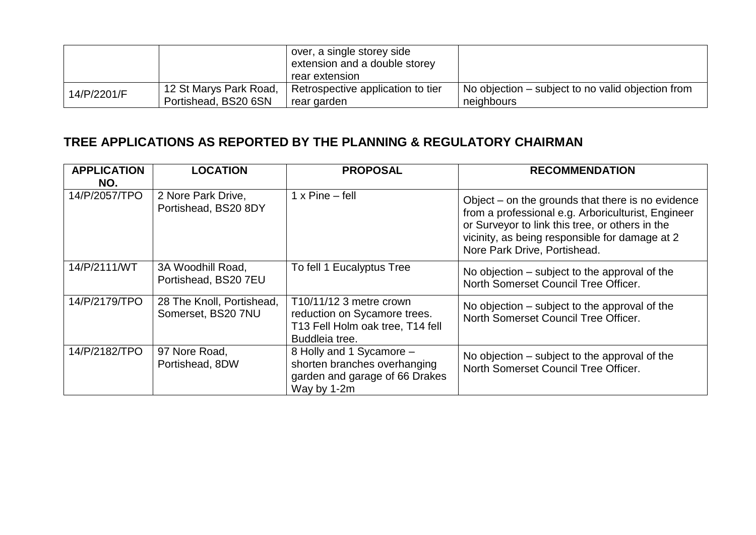|             |                        | over, a single storey side<br>extension and a double storey<br>rear extension |                                                   |
|-------------|------------------------|-------------------------------------------------------------------------------|---------------------------------------------------|
| 14/P/2201/F | 12 St Marys Park Road, | Retrospective application to tier                                             | No objection – subject to no valid objection from |
|             | Portishead, BS20 6SN   | rear garden                                                                   | neighbours                                        |

# **TREE APPLICATIONS AS REPORTED BY THE PLANNING & REGULATORY CHAIRMAN**

| <b>APPLICATION</b><br>NO. | <b>LOCATION</b>                                 | <b>PROPOSAL</b>                                                                                               | <b>RECOMMENDATION</b>                                                                                                                                                                                                                          |
|---------------------------|-------------------------------------------------|---------------------------------------------------------------------------------------------------------------|------------------------------------------------------------------------------------------------------------------------------------------------------------------------------------------------------------------------------------------------|
| 14/P/2057/TPO             | 2 Nore Park Drive,<br>Portishead, BS20 8DY      | $1 \times$ Pine – fell                                                                                        | Object $-$ on the grounds that there is no evidence<br>from a professional e.g. Arboriculturist, Engineer<br>or Surveyor to link this tree, or others in the<br>vicinity, as being responsible for damage at 2<br>Nore Park Drive, Portishead. |
| 14/P/2111/WT              | 3A Woodhill Road,<br>Portishead, BS20 7EU       | To fell 1 Eucalyptus Tree                                                                                     | No objection – subject to the approval of the<br>North Somerset Council Tree Officer.                                                                                                                                                          |
| 14/P/2179/TPO             | 28 The Knoll, Portishead,<br>Somerset, BS20 7NU | T10/11/12 3 metre crown<br>reduction on Sycamore trees.<br>T13 Fell Holm oak tree, T14 fell<br>Buddleia tree. | No objection – subject to the approval of the<br>North Somerset Council Tree Officer.                                                                                                                                                          |
| 14/P/2182/TPO             | 97 Nore Road,<br>Portishead, 8DW                | 8 Holly and 1 Sycamore -<br>shorten branches overhanging<br>garden and garage of 66 Drakes<br>Way by 1-2m     | No objection – subject to the approval of the<br>North Somerset Council Tree Officer.                                                                                                                                                          |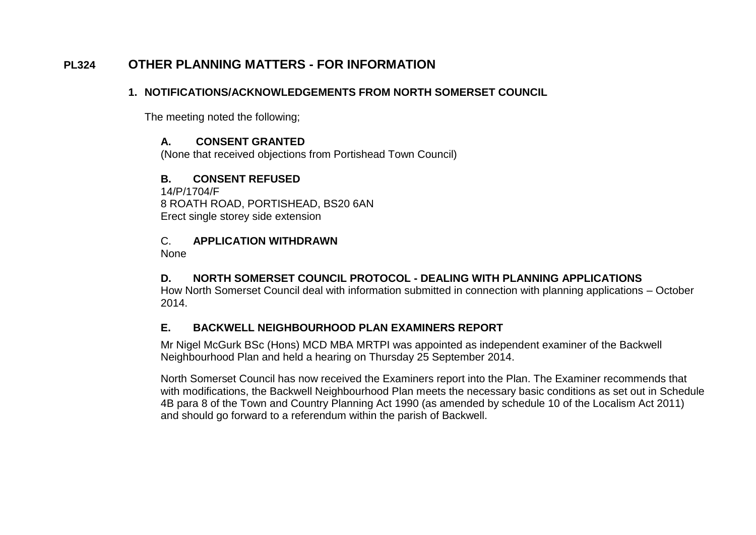# **PL324 OTHER PLANNING MATTERS - FOR INFORMATION**

## **1. NOTIFICATIONS/ACKNOWLEDGEMENTS FROM NORTH SOMERSET COUNCIL**

The meeting noted the following;

## **A. CONSENT GRANTED**

(None that received objections from Portishead Town Council)

## **B. CONSENT REFUSED**

14/P/1704/F 8 ROATH ROAD, PORTISHEAD, BS20 6AN Erect single storey side extension

## C. **APPLICATION WITHDRAWN**

None

## **D. NORTH SOMERSET COUNCIL PROTOCOL - DEALING WITH PLANNING APPLICATIONS**

How North Somerset Council deal with information submitted in connection with planning applications – October 2014.

## **E. BACKWELL NEIGHBOURHOOD PLAN EXAMINERS REPORT**

Mr Nigel McGurk BSc (Hons) MCD MBA MRTPI was appointed as independent examiner of the Backwell Neighbourhood Plan and held a hearing on Thursday 25 September 2014.

North Somerset Council has now received the Examiners report into the Plan. The Examiner recommends that with modifications, the Backwell Neighbourhood Plan meets the necessary basic conditions as set out in Schedule 4B para 8 of the Town and Country Planning Act 1990 (as amended by schedule 10 of the Localism Act 2011) and should go forward to a referendum within the parish of Backwell.